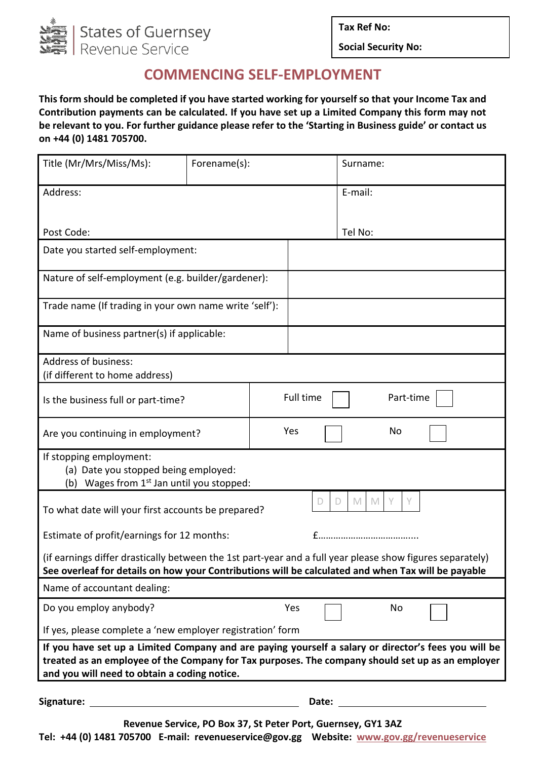

**Tax Ref No:**

**Social Security No:**

## **COMMENCING SELF-EMPLOYMENT**

**This form should be completed if you have started working for yourself so that your Income Tax and Contribution payments can be calculated. If you have set up a Limited Company this form may not be relevant to you. For further guidance please refer to the 'Starting in Business guide' or contact us on +44 (0) 1481 705700.**

| Title (Mr/Mrs/Miss/Ms):                                                                                                                                                                                                                                  | Forename(s): |           | Surname:    |           |  |
|----------------------------------------------------------------------------------------------------------------------------------------------------------------------------------------------------------------------------------------------------------|--------------|-----------|-------------|-----------|--|
| Address:                                                                                                                                                                                                                                                 |              |           | E-mail:     |           |  |
| Post Code:                                                                                                                                                                                                                                               |              |           | Tel No:     |           |  |
| Date you started self-employment:                                                                                                                                                                                                                        |              |           |             |           |  |
| Nature of self-employment (e.g. builder/gardener):                                                                                                                                                                                                       |              |           |             |           |  |
| Trade name (If trading in your own name write 'self'):                                                                                                                                                                                                   |              |           |             |           |  |
| Name of business partner(s) if applicable:                                                                                                                                                                                                               |              |           |             |           |  |
| <b>Address of business:</b><br>(if different to home address)                                                                                                                                                                                            |              |           |             |           |  |
| Is the business full or part-time?                                                                                                                                                                                                                       |              | Full time |             | Part-time |  |
| Are you continuing in employment?                                                                                                                                                                                                                        |              | Yes       |             | <b>No</b> |  |
| If stopping employment:<br>(a) Date you stopped being employed:<br>(b) Wages from 1 <sup>st</sup> Jan until you stopped:                                                                                                                                 |              |           |             |           |  |
| To what date will your first accounts be prepared?                                                                                                                                                                                                       |              | D         | M<br>M<br>D | Y<br>Y    |  |
| Estimate of profit/earnings for 12 months:                                                                                                                                                                                                               |              |           |             |           |  |
| (if earnings differ drastically between the 1st part-year and a full year please show figures separately)<br>See overleaf for details on how your Contributions will be calculated and when Tax will be payable                                          |              |           |             |           |  |
| Name of accountant dealing:                                                                                                                                                                                                                              |              |           |             |           |  |
| Do you employ anybody?                                                                                                                                                                                                                                   |              | Yes       |             | No        |  |
| If yes, please complete a 'new employer registration' form                                                                                                                                                                                               |              |           |             |           |  |
| If you have set up a Limited Company and are paying yourself a salary or director's fees you will be<br>treated as an employee of the Company for Tax purposes. The company should set up as an employer<br>and you will need to obtain a coding notice. |              |           |             |           |  |
|                                                                                                                                                                                                                                                          |              | Date:     |             |           |  |

**Revenue Service, PO Box 37, St Peter Port, Guernsey, GY1 3AZ**